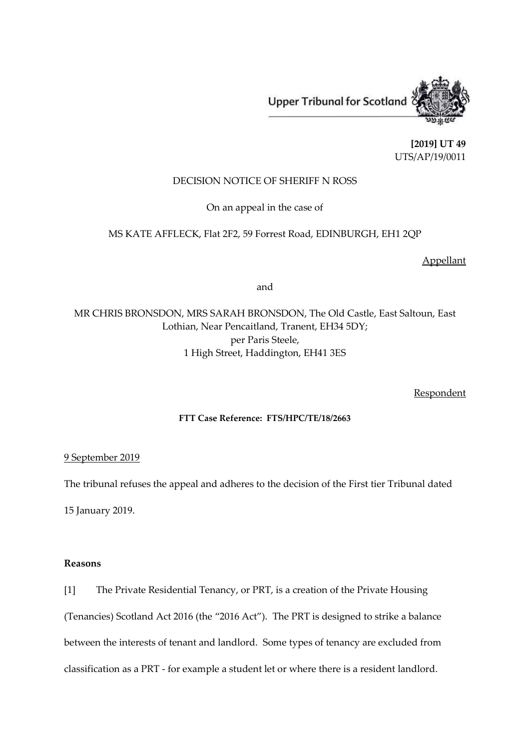Upper Tribunal for Scotland



**[2019] UT 49** UTS/AP/19/0011

## DECISION NOTICE OF SHERIFF N ROSS

On an appeal in the case of

# MS KATE AFFLECK, Flat 2F2, 59 Forrest Road, EDINBURGH, EH1 2QP

Appellant

and

MR CHRIS BRONSDON, MRS SARAH BRONSDON, The Old Castle, East Saltoun, East Lothian, Near Pencaitland, Tranent, EH34 5DY; per Paris Steele, 1 High Street, Haddington, EH41 3ES

**Respondent** 

## **FTT Case Reference: FTS/HPC/TE/18/2663**

## 9 September 2019

The tribunal refuses the appeal and adheres to the decision of the First tier Tribunal dated

15 January 2019.

#### **Reasons**

[1] The Private Residential Tenancy, or PRT, is a creation of the Private Housing (Tenancies) Scotland Act 2016 (the "2016 Act"). The PRT is designed to strike a balance between the interests of tenant and landlord. Some types of tenancy are excluded from classification as a PRT - for example a student let or where there is a resident landlord.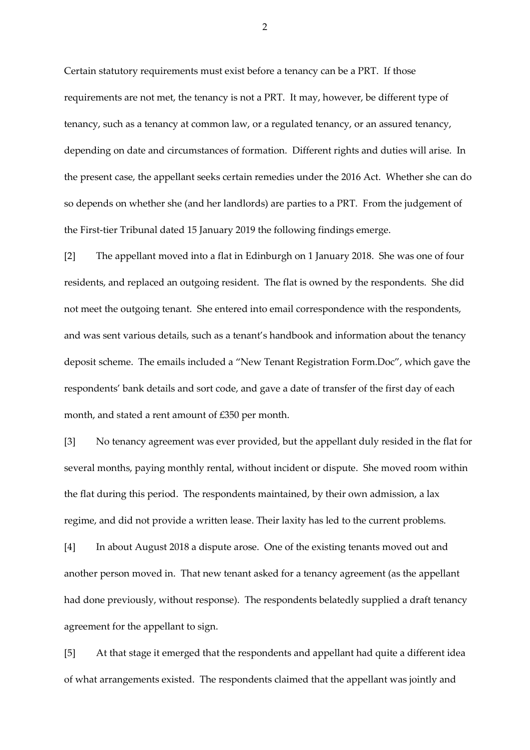Certain statutory requirements must exist before a tenancy can be a PRT. If those requirements are not met, the tenancy is not a PRT. It may, however, be different type of tenancy, such as a tenancy at common law, or a regulated tenancy, or an assured tenancy, depending on date and circumstances of formation. Different rights and duties will arise. In the present case, the appellant seeks certain remedies under the 2016 Act. Whether she can do so depends on whether she (and her landlords) are parties to a PRT. From the judgement of the First-tier Tribunal dated 15 January 2019 the following findings emerge.

[2] The appellant moved into a flat in Edinburgh on 1 January 2018. She was one of four residents, and replaced an outgoing resident. The flat is owned by the respondents. She did not meet the outgoing tenant. She entered into email correspondence with the respondents, and was sent various details, such as a tenant's handbook and information about the tenancy deposit scheme. The emails included a "New Tenant Registration Form.Doc", which gave the respondents' bank details and sort code, and gave a date of transfer of the first day of each month, and stated a rent amount of £350 per month.

[3] No tenancy agreement was ever provided, but the appellant duly resided in the flat for several months, paying monthly rental, without incident or dispute. She moved room within the flat during this period. The respondents maintained, by their own admission, a lax regime, and did not provide a written lease. Their laxity has led to the current problems.

[4] In about August 2018 a dispute arose. One of the existing tenants moved out and another person moved in. That new tenant asked for a tenancy agreement (as the appellant had done previously, without response). The respondents belatedly supplied a draft tenancy agreement for the appellant to sign.

[5] At that stage it emerged that the respondents and appellant had quite a different idea of what arrangements existed. The respondents claimed that the appellant was jointly and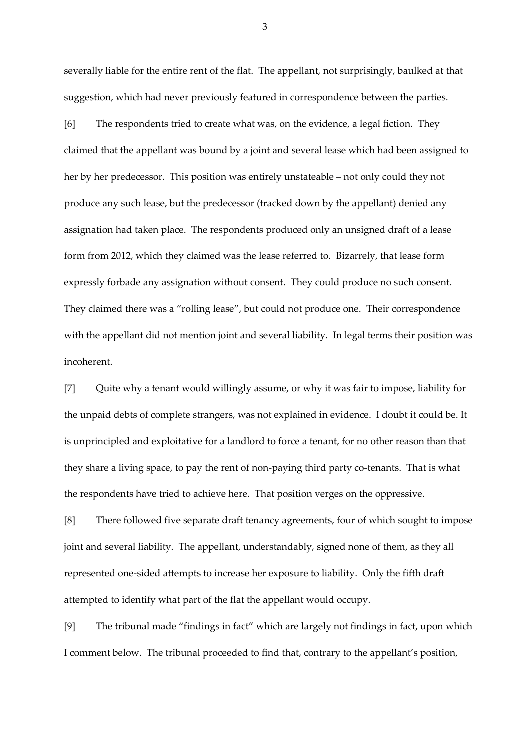severally liable for the entire rent of the flat. The appellant, not surprisingly, baulked at that suggestion, which had never previously featured in correspondence between the parties.

[6] The respondents tried to create what was, on the evidence, a legal fiction. They claimed that the appellant was bound by a joint and several lease which had been assigned to her by her predecessor. This position was entirely unstateable – not only could they not produce any such lease, but the predecessor (tracked down by the appellant) denied any assignation had taken place. The respondents produced only an unsigned draft of a lease form from 2012, which they claimed was the lease referred to. Bizarrely, that lease form expressly forbade any assignation without consent. They could produce no such consent. They claimed there was a "rolling lease", but could not produce one. Their correspondence with the appellant did not mention joint and several liability. In legal terms their position was incoherent.

[7] Quite why a tenant would willingly assume, or why it was fair to impose, liability for the unpaid debts of complete strangers, was not explained in evidence. I doubt it could be. It is unprincipled and exploitative for a landlord to force a tenant, for no other reason than that they share a living space, to pay the rent of non-paying third party co-tenants. That is what the respondents have tried to achieve here. That position verges on the oppressive.

[8] There followed five separate draft tenancy agreements, four of which sought to impose joint and several liability. The appellant, understandably, signed none of them, as they all represented one-sided attempts to increase her exposure to liability. Only the fifth draft attempted to identify what part of the flat the appellant would occupy.

[9] The tribunal made "findings in fact" which are largely not findings in fact, upon which I comment below. The tribunal proceeded to find that, contrary to the appellant's position,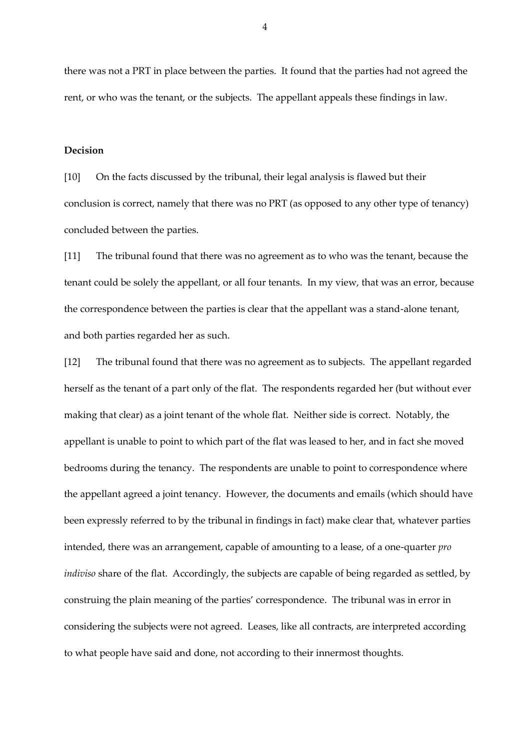there was not a PRT in place between the parties. It found that the parties had not agreed the rent, or who was the tenant, or the subjects. The appellant appeals these findings in law.

#### **Decision**

[10] On the facts discussed by the tribunal, their legal analysis is flawed but their conclusion is correct, namely that there was no PRT (as opposed to any other type of tenancy) concluded between the parties.

[11] The tribunal found that there was no agreement as to who was the tenant, because the tenant could be solely the appellant, or all four tenants. In my view, that was an error, because the correspondence between the parties is clear that the appellant was a stand-alone tenant, and both parties regarded her as such.

[12] The tribunal found that there was no agreement as to subjects. The appellant regarded herself as the tenant of a part only of the flat. The respondents regarded her (but without ever making that clear) as a joint tenant of the whole flat. Neither side is correct. Notably, the appellant is unable to point to which part of the flat was leased to her, and in fact she moved bedrooms during the tenancy. The respondents are unable to point to correspondence where the appellant agreed a joint tenancy. However, the documents and emails (which should have been expressly referred to by the tribunal in findings in fact) make clear that, whatever parties intended, there was an arrangement, capable of amounting to a lease, of a one-quarter *pro indiviso* share of the flat. Accordingly, the subjects are capable of being regarded as settled, by construing the plain meaning of the parties' correspondence. The tribunal was in error in considering the subjects were not agreed. Leases, like all contracts, are interpreted according to what people have said and done, not according to their innermost thoughts.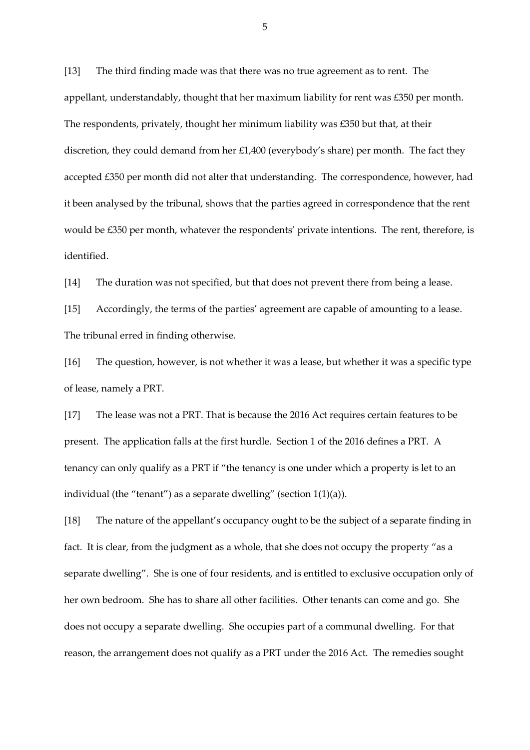[13] The third finding made was that there was no true agreement as to rent. The appellant, understandably, thought that her maximum liability for rent was £350 per month. The respondents, privately, thought her minimum liability was £350 but that, at their discretion, they could demand from her £1,400 (everybody's share) per month. The fact they accepted £350 per month did not alter that understanding. The correspondence, however, had it been analysed by the tribunal, shows that the parties agreed in correspondence that the rent would be £350 per month, whatever the respondents' private intentions. The rent, therefore, is identified.

[14] The duration was not specified, but that does not prevent there from being a lease.

[15] Accordingly, the terms of the parties' agreement are capable of amounting to a lease. The tribunal erred in finding otherwise.

[16] The question, however, is not whether it was a lease, but whether it was a specific type of lease, namely a PRT.

[17] The lease was not a PRT. That is because the 2016 Act requires certain features to be present. The application falls at the first hurdle. Section 1 of the 2016 defines a PRT. A tenancy can only qualify as a PRT if "the tenancy is one under which a property is let to an individual (the "tenant") as a separate dwelling" (section  $1(1)(a)$ ).

[18] The nature of the appellant's occupancy ought to be the subject of a separate finding in fact. It is clear, from the judgment as a whole, that she does not occupy the property "as a separate dwelling". She is one of four residents, and is entitled to exclusive occupation only of her own bedroom. She has to share all other facilities. Other tenants can come and go. She does not occupy a separate dwelling. She occupies part of a communal dwelling. For that reason, the arrangement does not qualify as a PRT under the 2016 Act. The remedies sought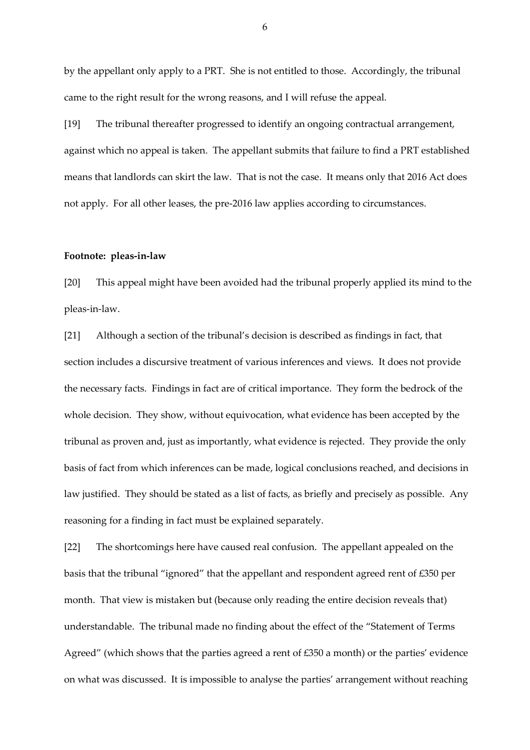by the appellant only apply to a PRT. She is not entitled to those. Accordingly, the tribunal came to the right result for the wrong reasons, and I will refuse the appeal.

[19] The tribunal thereafter progressed to identify an ongoing contractual arrangement, against which no appeal is taken. The appellant submits that failure to find a PRT established means that landlords can skirt the law. That is not the case. It means only that 2016 Act does not apply. For all other leases, the pre-2016 law applies according to circumstances.

#### **Footnote: pleas-in-law**

[20] This appeal might have been avoided had the tribunal properly applied its mind to the pleas-in-law.

[21] Although a section of the tribunal's decision is described as findings in fact, that section includes a discursive treatment of various inferences and views. It does not provide the necessary facts. Findings in fact are of critical importance. They form the bedrock of the whole decision. They show, without equivocation, what evidence has been accepted by the tribunal as proven and, just as importantly, what evidence is rejected. They provide the only basis of fact from which inferences can be made, logical conclusions reached, and decisions in law justified. They should be stated as a list of facts, as briefly and precisely as possible. Any reasoning for a finding in fact must be explained separately.

[22] The shortcomings here have caused real confusion. The appellant appealed on the basis that the tribunal "ignored" that the appellant and respondent agreed rent of £350 per month. That view is mistaken but (because only reading the entire decision reveals that) understandable. The tribunal made no finding about the effect of the "Statement of Terms Agreed" (which shows that the parties agreed a rent of £350 a month) or the parties' evidence on what was discussed. It is impossible to analyse the parties' arrangement without reaching